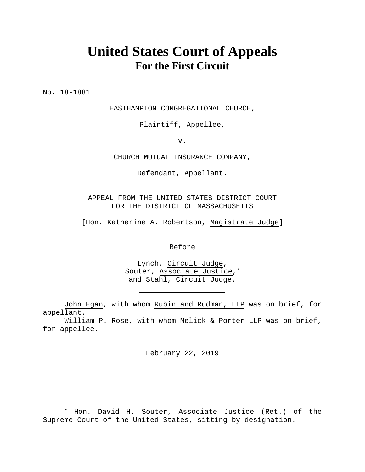# **United States Court of Appeals For the First Circuit**

No. 18-1881

 $\overline{a}$ 

EASTHAMPTON CONGREGATIONAL CHURCH,

Plaintiff, Appellee,

v.

CHURCH MUTUAL INSURANCE COMPANY,

Defendant, Appellant.

APPEAL FROM THE UNITED STATES DISTRICT COURT FOR THE DISTRICT OF MASSACHUSETTS

[Hon. Katherine A. Robertson, Magistrate Judge]

Before

Lynch, Circuit Judge, Souter, Associate Justice,\* and Stahl, Circuit Judge.

John Egan, with whom Rubin and Rudman, LLP was on brief, for appellant.

William P. Rose, with whom Melick & Porter LLP was on brief, for appellee.

February 22, 2019

<sup>\*</sup> Hon. David H. Souter, Associate Justice (Ret.) of the Supreme Court of the United States, sitting by designation.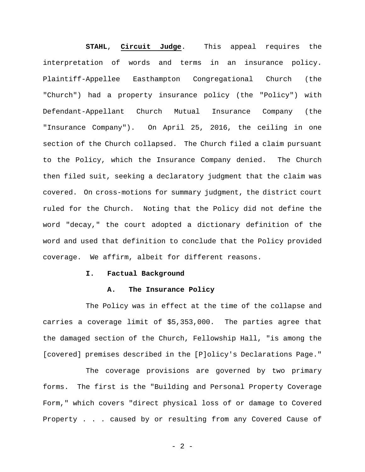**STAHL**, **Circuit Judge**. This appeal requires the interpretation of words and terms in an insurance policy. Plaintiff-Appellee Easthampton Congregational Church (the "Church") had a property insurance policy (the "Policy") with Defendant-Appellant Church Mutual Insurance Company (the "Insurance Company"). On April 25, 2016, the ceiling in one section of the Church collapsed. The Church filed a claim pursuant to the Policy, which the Insurance Company denied. The Church then filed suit, seeking a declaratory judgment that the claim was covered. On cross-motions for summary judgment, the district court ruled for the Church. Noting that the Policy did not define the word "decay," the court adopted a dictionary definition of the word and used that definition to conclude that the Policy provided coverage. We affirm, albeit for different reasons.

#### **I. Factual Background**

#### **A. The Insurance Policy**

The Policy was in effect at the time of the collapse and carries a coverage limit of \$5,353,000. The parties agree that the damaged section of the Church, Fellowship Hall, "is among the [covered] premises described in the [P]olicy's Declarations Page."

The coverage provisions are governed by two primary forms. The first is the "Building and Personal Property Coverage Form," which covers "direct physical loss of or damage to Covered Property . . . caused by or resulting from any Covered Cause of

 $- 2 -$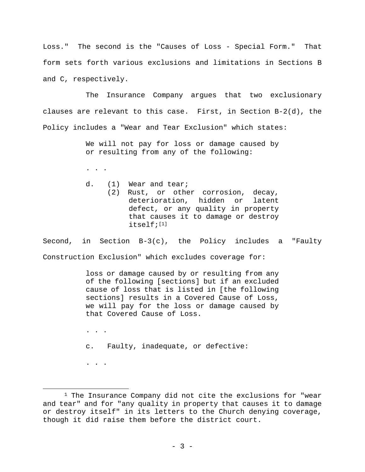Loss." The second is the "Causes of Loss - Special Form." That form sets forth various exclusions and limitations in Sections B and C, respectively.

The Insurance Company argues that two exclusionary clauses are relevant to this case. First, in Section B-2(d), the Policy includes a "Wear and Tear Exclusion" which states:

> We will not pay for loss or damage caused by or resulting from any of the following:

. . .

- d. (1) Wear and tear;
	- (2) Rust, or other corrosion, decay, deterioration, hidden or latent defect, or any quality in property that causes it to damage or destroy itself;<sup>[1]</sup>

Second, in Section  $B-3(c)$ , the Policy includes a "Faulty Construction Exclusion" which excludes coverage for:

> loss or damage caused by or resulting from any of the following [sections] but if an excluded cause of loss that is listed in [the following sections] results in a Covered Cause of Loss, we will pay for the loss or damage caused by that Covered Cause of Loss.

. . .

. . .

 $\overline{a}$ 

c. Faulty, inadequate, or defective:

 $1$  The Insurance Company did not cite the exclusions for "wear and tear" and for "any quality in property that causes it to damage or destroy itself" in its letters to the Church denying coverage, though it did raise them before the district court.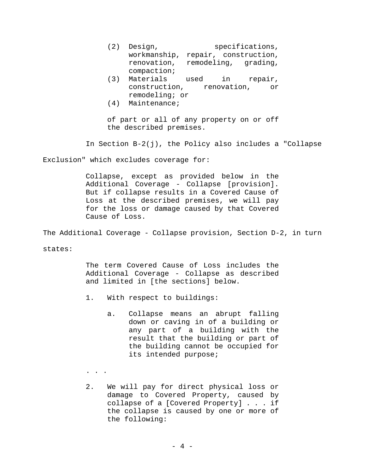- (2) Design, specifications, workmanship, repair, construction, renovation, remodeling, grading, compaction;
- (3) Materials used in repair, construction, renovation, or remodeling; or
- (4) Maintenance;

of part or all of any property on or off the described premises.

In Section B-2(j), the Policy also includes a "Collapse

Exclusion" which excludes coverage for:

Collapse, except as provided below in the Additional Coverage - Collapse [provision]. But if collapse results in a Covered Cause of Loss at the described premises, we will pay for the loss or damage caused by that Covered Cause of Loss.

The Additional Coverage - Collapse provision, Section D-2, in turn

states:

The term Covered Cause of Loss includes the Additional Coverage - Collapse as described and limited in [the sections] below.

- 1. With respect to buildings:
	- a. Collapse means an abrupt falling down or caving in of a building or any part of a building with the result that the building or part of the building cannot be occupied for its intended purpose;
- . . .
- 2. We will pay for direct physical loss or damage to Covered Property, caused by collapse of a [Covered Property] . . . if the collapse is caused by one or more of the following: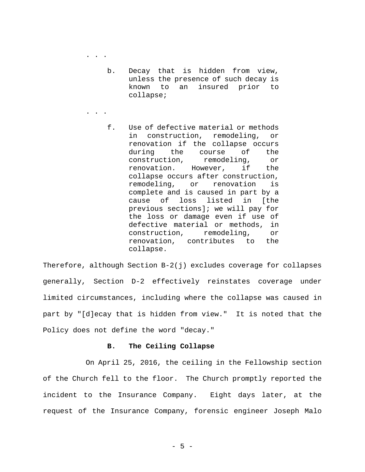. . .

. . .

- b. Decay that is hidden from view, unless the presence of such decay is known to an insured prior to collapse;
- f. Use of defective material or methods in construction, remodeling, or renovation if the collapse occurs during the course of the construction, remodeling, or renovation. However, if the collapse occurs after construction, remodeling, or renovation is complete and is caused in part by a cause of loss listed in [the previous sections]; we will pay for the loss or damage even if use of defective material or methods, in construction, remodeling, or renovation, contributes to the collapse.

Therefore, although Section B-2(j) excludes coverage for collapses generally, Section D-2 effectively reinstates coverage under limited circumstances, including where the collapse was caused in part by "[d]ecay that is hidden from view." It is noted that the Policy does not define the word "decay."

### **B. The Ceiling Collapse**

On April 25, 2016, the ceiling in the Fellowship section of the Church fell to the floor. The Church promptly reported the incident to the Insurance Company. Eight days later, at the request of the Insurance Company, forensic engineer Joseph Malo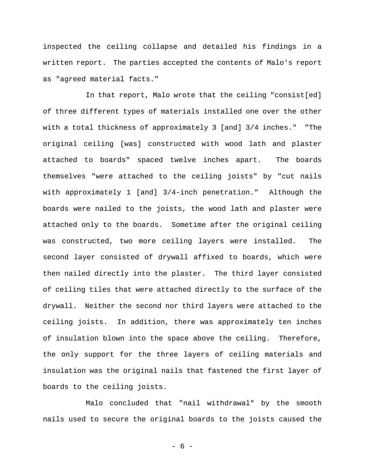inspected the ceiling collapse and detailed his findings in a written report. The parties accepted the contents of Malo's report as "agreed material facts."

In that report, Malo wrote that the ceiling "consist[ed] of three different types of materials installed one over the other with a total thickness of approximately 3 [and] 3/4 inches." "The original ceiling [was] constructed with wood lath and plaster attached to boards" spaced twelve inches apart. The boards themselves "were attached to the ceiling joists" by "cut nails with approximately 1 [and] 3/4-inch penetration." Although the boards were nailed to the joists, the wood lath and plaster were attached only to the boards. Sometime after the original ceiling was constructed, two more ceiling layers were installed. The second layer consisted of drywall affixed to boards, which were then nailed directly into the plaster. The third layer consisted of ceiling tiles that were attached directly to the surface of the drywall. Neither the second nor third layers were attached to the ceiling joists. In addition, there was approximately ten inches of insulation blown into the space above the ceiling. Therefore, the only support for the three layers of ceiling materials and insulation was the original nails that fastened the first layer of boards to the ceiling joists.

Malo concluded that "nail withdrawal" by the smooth nails used to secure the original boards to the joists caused the

- 6 -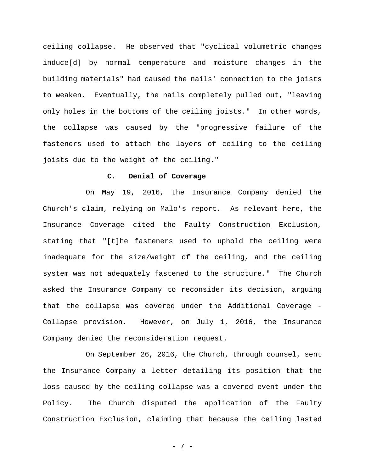ceiling collapse. He observed that "cyclical volumetric changes induce[d] by normal temperature and moisture changes in the building materials" had caused the nails' connection to the joists to weaken. Eventually, the nails completely pulled out, "leaving only holes in the bottoms of the ceiling joists." In other words, the collapse was caused by the "progressive failure of the fasteners used to attach the layers of ceiling to the ceiling joists due to the weight of the ceiling."

### **C. Denial of Coverage**

On May 19, 2016, the Insurance Company denied the Church's claim, relying on Malo's report. As relevant here, the Insurance Coverage cited the Faulty Construction Exclusion, stating that "[t]he fasteners used to uphold the ceiling were inadequate for the size/weight of the ceiling, and the ceiling system was not adequately fastened to the structure." The Church asked the Insurance Company to reconsider its decision, arguing that the collapse was covered under the Additional Coverage - Collapse provision. However, on July 1, 2016, the Insurance Company denied the reconsideration request.

On September 26, 2016, the Church, through counsel, sent the Insurance Company a letter detailing its position that the loss caused by the ceiling collapse was a covered event under the Policy. The Church disputed the application of the Faulty Construction Exclusion, claiming that because the ceiling lasted

- 7 -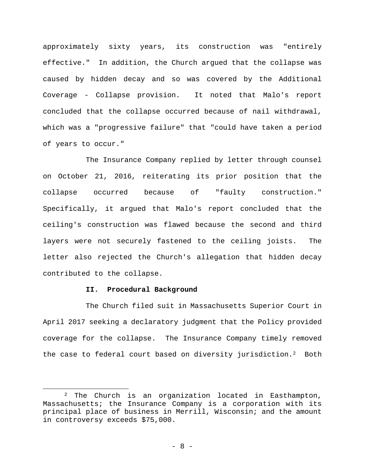approximately sixty years, its construction was "entirely effective." In addition, the Church argued that the collapse was caused by hidden decay and so was covered by the Additional Coverage - Collapse provision. It noted that Malo's report concluded that the collapse occurred because of nail withdrawal, which was a "progressive failure" that "could have taken a period of years to occur."

The Insurance Company replied by letter through counsel on October 21, 2016, reiterating its prior position that the collapse occurred because of "faulty construction." Specifically, it argued that Malo's report concluded that the ceiling's construction was flawed because the second and third layers were not securely fastened to the ceiling joists. The letter also rejected the Church's allegation that hidden decay contributed to the collapse.

## **II. Procedural Background**

1

The Church filed suit in Massachusetts Superior Court in April 2017 seeking a declaratory judgment that the Policy provided coverage for the collapse. The Insurance Company timely removed the case to federal court based on diversity jurisdiction.2 Both

<sup>2</sup> The Church is an organization located in Easthampton, Massachusetts; the Insurance Company is a corporation with its principal place of business in Merrill, Wisconsin; and the amount in controversy exceeds \$75,000.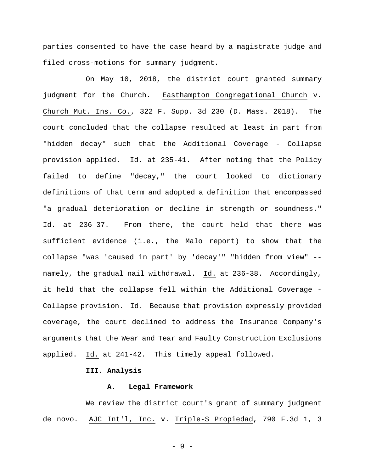parties consented to have the case heard by a magistrate judge and filed cross-motions for summary judgment.

On May 10, 2018, the district court granted summary judgment for the Church. Easthampton Congregational Church v. Church Mut. Ins. Co., 322 F. Supp. 3d 230 (D. Mass. 2018). The court concluded that the collapse resulted at least in part from "hidden decay" such that the Additional Coverage - Collapse provision applied. Id. at 235-41. After noting that the Policy failed to define "decay," the court looked to dictionary definitions of that term and adopted a definition that encompassed "a gradual deterioration or decline in strength or soundness." Id. at 236-37. From there, the court held that there was sufficient evidence (i.e., the Malo report) to show that the collapse "was 'caused in part' by 'decay'" "hidden from view" - namely, the gradual nail withdrawal. Id. at 236-38. Accordingly, it held that the collapse fell within the Additional Coverage - Collapse provision. Id. Because that provision expressly provided coverage, the court declined to address the Insurance Company's arguments that the Wear and Tear and Faulty Construction Exclusions applied. Id. at 241-42. This timely appeal followed.

# **III. Analysis**

#### **A. Legal Framework**

We review the district court's grant of summary judgment de novo. AJC Int'l, Inc. v. Triple-S Propiedad, 790 F.3d 1, 3

- 9 -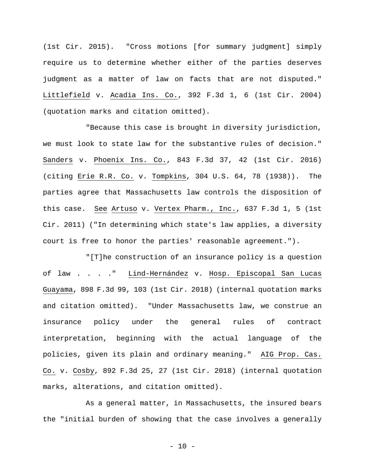(1st Cir. 2015). "Cross motions [for summary judgment] simply require us to determine whether either of the parties deserves judgment as a matter of law on facts that are not disputed." Littlefield v. Acadia Ins. Co., 392 F.3d 1, 6 (1st Cir. 2004) (quotation marks and citation omitted).

"Because this case is brought in diversity jurisdiction, we must look to state law for the substantive rules of decision." Sanders v. Phoenix Ins. Co., 843 F.3d 37, 42 (1st Cir. 2016) (citing Erie R.R. Co. v. Tompkins, 304 U.S. 64, 78 (1938)). The parties agree that Massachusetts law controls the disposition of this case. See Artuso v. Vertex Pharm., Inc., 637 F.3d 1, 5 (1st Cir. 2011) ("In determining which state's law applies, a diversity court is free to honor the parties' reasonable agreement.").

"[T]he construction of an insurance policy is a question of law . . . ." Lind-Hernández v. Hosp. Episcopal San Lucas Guayama, 898 F.3d 99, 103 (1st Cir. 2018) (internal quotation marks and citation omitted). "Under Massachusetts law, we construe an insurance policy under the general rules of contract interpretation, beginning with the actual language of the policies, given its plain and ordinary meaning." AIG Prop. Cas. Co. v. Cosby, 892 F.3d 25, 27 (1st Cir. 2018) (internal quotation marks, alterations, and citation omitted).

As a general matter, in Massachusetts, the insured bears the "initial burden of showing that the case involves a generally

 $- 10 -$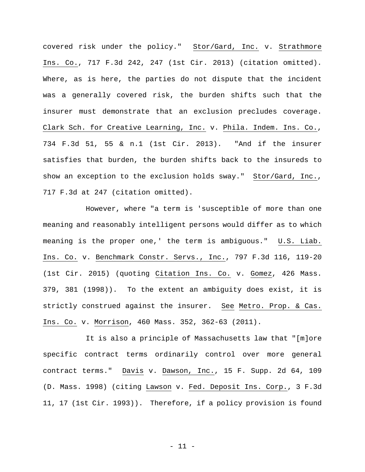covered risk under the policy." Stor/Gard, Inc. v. Strathmore Ins. Co., 717 F.3d 242, 247 (1st Cir. 2013) (citation omitted). Where, as is here, the parties do not dispute that the incident was a generally covered risk, the burden shifts such that the insurer must demonstrate that an exclusion precludes coverage. Clark Sch. for Creative Learning, Inc. v. Phila. Indem. Ins. Co., 734 F.3d 51, 55 & n.1 (1st Cir. 2013). "And if the insurer satisfies that burden, the burden shifts back to the insureds to show an exception to the exclusion holds sway." Stor/Gard, Inc., 717 F.3d at 247 (citation omitted).

However, where "a term is 'susceptible of more than one meaning and reasonably intelligent persons would differ as to which meaning is the proper one,' the term is ambiguous." U.S. Liab. Ins. Co. v. Benchmark Constr. Servs., Inc., 797 F.3d 116, 119-20 (1st Cir. 2015) (quoting Citation Ins. Co. v. Gomez, 426 Mass. 379, 381 (1998)). To the extent an ambiguity does exist, it is strictly construed against the insurer. See Metro. Prop. & Cas. Ins. Co. v. Morrison, 460 Mass. 352, 362-63 (2011).

It is also a principle of Massachusetts law that "[m]ore specific contract terms ordinarily control over more general contract terms." Davis v. Dawson, Inc., 15 F. Supp. 2d 64, 109 (D. Mass. 1998) (citing Lawson v. Fed. Deposit Ins. Corp., 3 F.3d 11, 17 (1st Cir. 1993)). Therefore, if a policy provision is found

- 11 -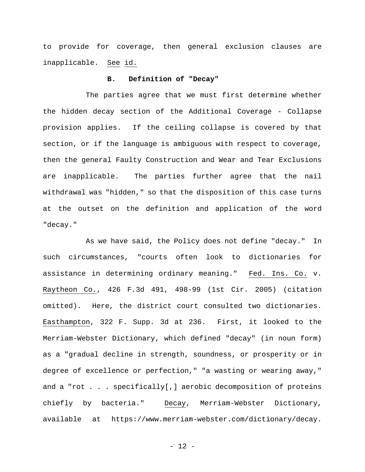to provide for coverage, then general exclusion clauses are inapplicable. See id.

## **B. Definition of "Decay"**

The parties agree that we must first determine whether the hidden decay section of the Additional Coverage - Collapse provision applies. If the ceiling collapse is covered by that section, or if the language is ambiguous with respect to coverage, then the general Faulty Construction and Wear and Tear Exclusions are inapplicable. The parties further agree that the nail withdrawal was "hidden," so that the disposition of this case turns at the outset on the definition and application of the word "decay."

As we have said, the Policy does not define "decay." In such circumstances, "courts often look to dictionaries for assistance in determining ordinary meaning." Fed. Ins. Co. v. Raytheon Co., 426 F.3d 491, 498-99 (1st Cir. 2005) (citation omitted). Here, the district court consulted two dictionaries. Easthampton, 322 F. Supp. 3d at 236. First, it looked to the Merriam-Webster Dictionary, which defined "decay" (in noun form) as a "gradual decline in strength, soundness, or prosperity or in degree of excellence or perfection," "a wasting or wearing away," and a "rot . . . specifically[,] aerobic decomposition of proteins chiefly by bacteria." Decay, Merriam-Webster Dictionary, available at https://www.merriam-webster.com/dictionary/decay.

- 12 -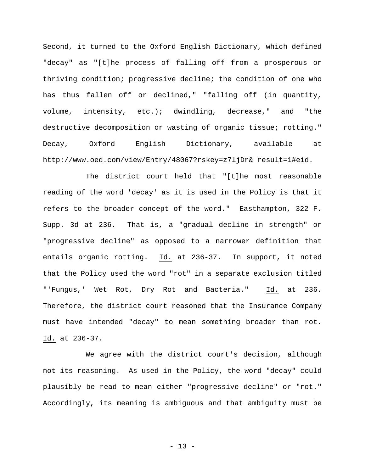Second, it turned to the Oxford English Dictionary, which defined "decay" as "[t]he process of falling off from a prosperous or thriving condition; progressive decline; the condition of one who has thus fallen off or declined," "falling off (in quantity, volume, intensity, etc.); dwindling, decrease," and "the destructive decomposition or wasting of organic tissue; rotting." Decay, Oxford English Dictionary, available at http://www.oed.com/view/Entry/48067?rskey=z7ljDr& result=1#eid.

The district court held that "[t]he most reasonable reading of the word 'decay' as it is used in the Policy is that it refers to the broader concept of the word." Easthampton, 322 F. Supp. 3d at 236. That is, a "gradual decline in strength" or "progressive decline" as opposed to a narrower definition that entails organic rotting. Id. at 236-37. In support, it noted that the Policy used the word "rot" in a separate exclusion titled "'Fungus,' Wet Rot, Dry Rot and Bacteria." Id. at 236. Therefore, the district court reasoned that the Insurance Company must have intended "decay" to mean something broader than rot. Id. at 236-37.

We agree with the district court's decision, although not its reasoning. As used in the Policy, the word "decay" could plausibly be read to mean either "progressive decline" or "rot." Accordingly, its meaning is ambiguous and that ambiguity must be

- 13 -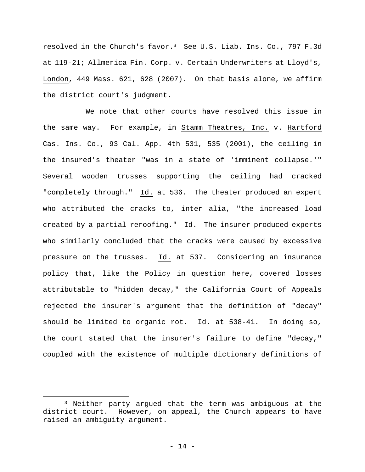resolved in the Church's favor.<sup>3</sup> See U.S. Liab. Ins. Co., 797 F.3d at 119-21; Allmerica Fin. Corp. v. Certain Underwriters at Lloyd's, London, 449 Mass. 621, 628 (2007). On that basis alone, we affirm the district court's judgment.

We note that other courts have resolved this issue in the same way. For example, in Stamm Theatres, Inc. v. Hartford Cas. Ins. Co., 93 Cal. App. 4th 531, 535 (2001), the ceiling in the insured's theater "was in a state of 'imminent collapse.'" Several wooden trusses supporting the ceiling had cracked "completely through." Id. at 536. The theater produced an expert who attributed the cracks to, inter alia, "the increased load created by a partial reroofing." Id. The insurer produced experts who similarly concluded that the cracks were caused by excessive pressure on the trusses. Id. at 537. Considering an insurance policy that, like the Policy in question here, covered losses attributable to "hidden decay," the California Court of Appeals rejected the insurer's argument that the definition of "decay" should be limited to organic rot. Id. at 538-41. In doing so, the court stated that the insurer's failure to define "decay," coupled with the existence of multiple dictionary definitions of

 $\overline{a}$ 

<sup>3</sup> Neither party argued that the term was ambiguous at the district court. However, on appeal, the Church appears to have raised an ambiguity argument.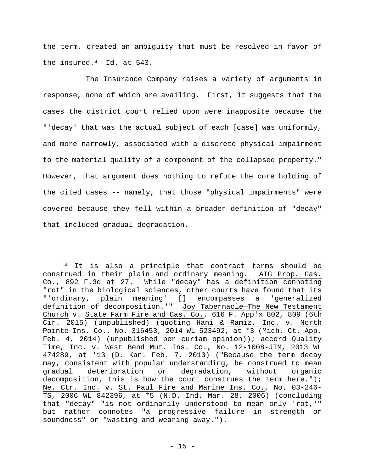the term, created an ambiguity that must be resolved in favor of the insured.4 Id. at 543.

The Insurance Company raises a variety of arguments in response, none of which are availing. First, it suggests that the cases the district court relied upon were inapposite because the "'decay' that was the actual subject of each [case] was uniformly, and more narrowly, associated with a discrete physical impairment to the material quality of a component of the collapsed property." However, that argument does nothing to refute the core holding of the cited cases -- namely, that those "physical impairments" were covered because they fell within a broader definition of "decay" that included gradual degradation.

 $\overline{a}$ 

<sup>&</sup>lt;sup>4</sup> It is also a principle that contract terms should be construed in their plain and ordinary meaning. AIG Prop. Cas. Co., 892 F.3d at 27. While "decay" has a definition connoting "rot" in the biological sciences, other courts have found that its "'ordinary, plain meaning' [] encompasses a 'generalized definition of decomposition.'" Joy Tabernacle—The New Testament Church v. State Farm Fire and Cas. Co., 616 F. App'x 802, 809 (6th Cir. 2015) (unpublished) (quoting Hani & Ramiz, Inc. v. North Pointe Ins. Co., No. 316453, 2014 WL 523492, at \*3 (Mich. Ct. App. Feb. 4, 2014) (unpublished per curiam opinion)); accord Quality Time, Inc. v. West Bend Mut. Ins. Co., No. 12-1008-JTM, 2013 WL 474289, at \*13 (D. Kan. Feb. 7, 2013) ("Because the term decay may, consistent with popular understanding, be construed to mean gradual deterioration or degradation, without organic decomposition, this is how the court construes the term here."); Ne. Ctr. Inc. v. St. Paul Fire and Marine Ins. Co., No. 03-246- TS, 2006 WL 842396, at \*5 (N.D. Ind. Mar. 28, 2006) (concluding that "decay" "is not ordinarily understood to mean only 'rot,'" but rather connotes "a progressive failure in strength or soundness" or "wasting and wearing away.").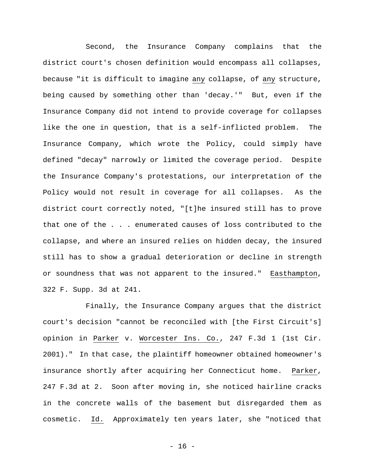Second, the Insurance Company complains that the district court's chosen definition would encompass all collapses, because "it is difficult to imagine any collapse, of any structure, being caused by something other than 'decay.'" But, even if the Insurance Company did not intend to provide coverage for collapses like the one in question, that is a self-inflicted problem. The Insurance Company, which wrote the Policy, could simply have defined "decay" narrowly or limited the coverage period. Despite the Insurance Company's protestations, our interpretation of the Policy would not result in coverage for all collapses. As the district court correctly noted, "[t]he insured still has to prove that one of the . . . enumerated causes of loss contributed to the collapse, and where an insured relies on hidden decay, the insured still has to show a gradual deterioration or decline in strength or soundness that was not apparent to the insured." Easthampton, 322 F. Supp. 3d at 241.

Finally, the Insurance Company argues that the district court's decision "cannot be reconciled with [the First Circuit's] opinion in Parker v. Worcester Ins. Co., 247 F.3d 1 (1st Cir. 2001)." In that case, the plaintiff homeowner obtained homeowner's insurance shortly after acquiring her Connecticut home. Parker, 247 F.3d at 2. Soon after moving in, she noticed hairline cracks in the concrete walls of the basement but disregarded them as cosmetic. Id. Approximately ten years later, she "noticed that

- 16 -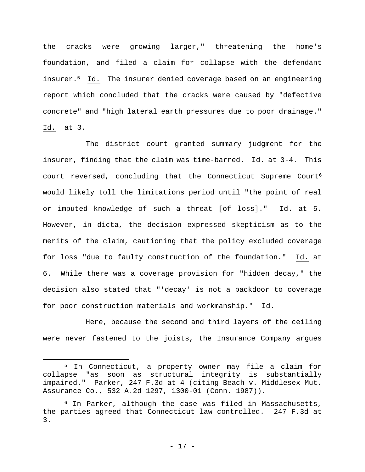the cracks were growing larger," threatening the home's foundation, and filed a claim for collapse with the defendant insurer.5 Id. The insurer denied coverage based on an engineering report which concluded that the cracks were caused by "defective concrete" and "high lateral earth pressures due to poor drainage." Id. at 3.

The district court granted summary judgment for the insurer, finding that the claim was time-barred. Id. at 3-4. This court reversed, concluding that the Connecticut Supreme Court<sup>6</sup> would likely toll the limitations period until "the point of real or imputed knowledge of such a threat [of loss]." Id. at 5. However, in dicta, the decision expressed skepticism as to the merits of the claim, cautioning that the policy excluded coverage for loss "due to faulty construction of the foundation." Id. at 6. While there was a coverage provision for "hidden decay," the decision also stated that "'decay' is not a backdoor to coverage for poor construction materials and workmanship." Id.

Here, because the second and third layers of the ceiling were never fastened to the joists, the Insurance Company argues

 $\overline{a}$ 

<sup>5</sup> In Connecticut, a property owner may file a claim for collapse "as soon as structural integrity is substantially impaired." Parker, 247 F.3d at 4 (citing Beach v. Middlesex Mut. Assurance Co., 532 A.2d 1297, 1300-01 (Conn. 1987)).

<sup>6</sup> In Parker, although the case was filed in Massachusetts, the parties agreed that Connecticut law controlled. 247 F.3d at 3.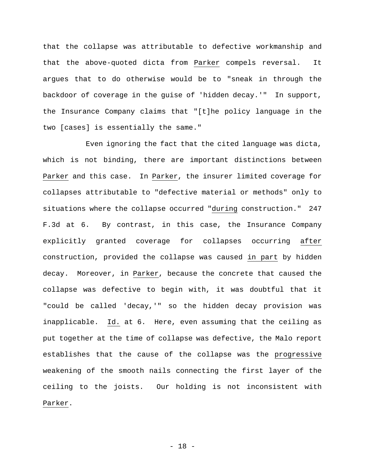that the collapse was attributable to defective workmanship and that the above-quoted dicta from Parker compels reversal. It argues that to do otherwise would be to "sneak in through the backdoor of coverage in the guise of 'hidden decay.'" In support, the Insurance Company claims that "[t]he policy language in the two [cases] is essentially the same."

Even ignoring the fact that the cited language was dicta, which is not binding, there are important distinctions between Parker and this case. In Parker, the insurer limited coverage for collapses attributable to "defective material or methods" only to situations where the collapse occurred "during construction." 247 F.3d at 6. By contrast, in this case, the Insurance Company explicitly granted coverage for collapses occurring after construction, provided the collapse was caused in part by hidden decay. Moreover, in Parker, because the concrete that caused the collapse was defective to begin with, it was doubtful that it "could be called 'decay,'" so the hidden decay provision was inapplicable. Id. at 6. Here, even assuming that the ceiling as put together at the time of collapse was defective, the Malo report establishes that the cause of the collapse was the progressive weakening of the smooth nails connecting the first layer of the ceiling to the joists. Our holding is not inconsistent with Parker.